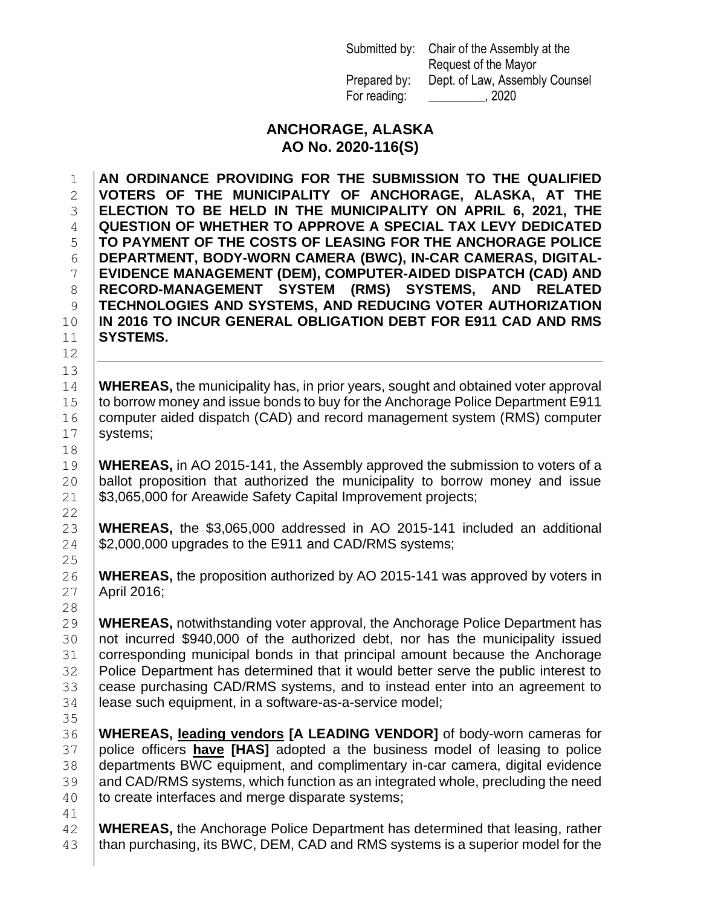Submitted by: Chair of the Assembly at the Request of the Mayor Prepared by: Dept. of Law, Assembly Counsel For reading: 2020

## **ANCHORAGE, ALASKA AO No. 2020-116(S)**

 **AN ORDINANCE PROVIDING FOR THE SUBMISSION TO THE QUALIFIED VOTERS OF THE MUNICIPALITY OF ANCHORAGE, ALASKA, AT THE ELECTION TO BE HELD IN THE MUNICIPALITY ON APRIL 6, 2021, THE QUESTION OF WHETHER TO APPROVE A SPECIAL TAX LEVY DEDICATED TO PAYMENT OF THE COSTS OF LEASING FOR THE ANCHORAGE POLICE DEPARTMENT, BODY-WORN CAMERA (BWC), IN-CAR CAMERAS, DIGITAL- EVIDENCE MANAGEMENT (DEM), COMPUTER-AIDED DISPATCH (CAD) AND RECORD-MANAGEMENT SYSTEM (RMS) SYSTEMS, AND RELATED TECHNOLOGIES AND SYSTEMS, AND REDUCING VOTER AUTHORIZATION IN 2016 TO INCUR GENERAL OBLIGATION DEBT FOR E911 CAD AND RMS SYSTEMS.** 

 **WHEREAS,** the municipality has, in prior years, sought and obtained voter approval 15 to borrow money and issue bonds to buy for the Anchorage Police Department E911 16 Computer aided dispatch (CAD) and record management system (RMS) computer 17 | systems;

 **WHEREAS,** in AO 2015-141, the Assembly approved the submission to voters of a ballot proposition that authorized the municipality to borrow money and issue 21 | \$3,065,000 for Areawide Safety Capital Improvement projects;

 **WHEREAS,** the \$3,065,000 addressed in AO 2015-141 included an additional | \$2,000,000 upgrades to the E911 and CAD/RMS systems;

 **WHEREAS,** the proposition authorized by AO 2015-141 was approved by voters in April 2016;

 **WHEREAS,** notwithstanding voter approval, the Anchorage Police Department has not incurred \$940,000 of the authorized debt, nor has the municipality issued corresponding municipal bonds in that principal amount because the Anchorage Police Department has determined that it would better serve the public interest to 33 cease purchasing CAD/RMS systems, and to instead enter into an agreement to 34 | lease such equipment, in a software-as-a-service model;

 **WHEREAS, leading vendors [A LEADING VENDOR]** of body-worn cameras for police officers **have [HAS]** adopted a the business model of leasing to police departments BWC equipment, and complimentary in-car camera, digital evidence 39 and CAD/RMS systems, which function as an integrated whole, precluding the need 40 to create interfaces and merge disparate systems;

 **WHEREAS,** the Anchorage Police Department has determined that leasing, rather 43 than purchasing, its BWC, DEM, CAD and RMS systems is a superior model for the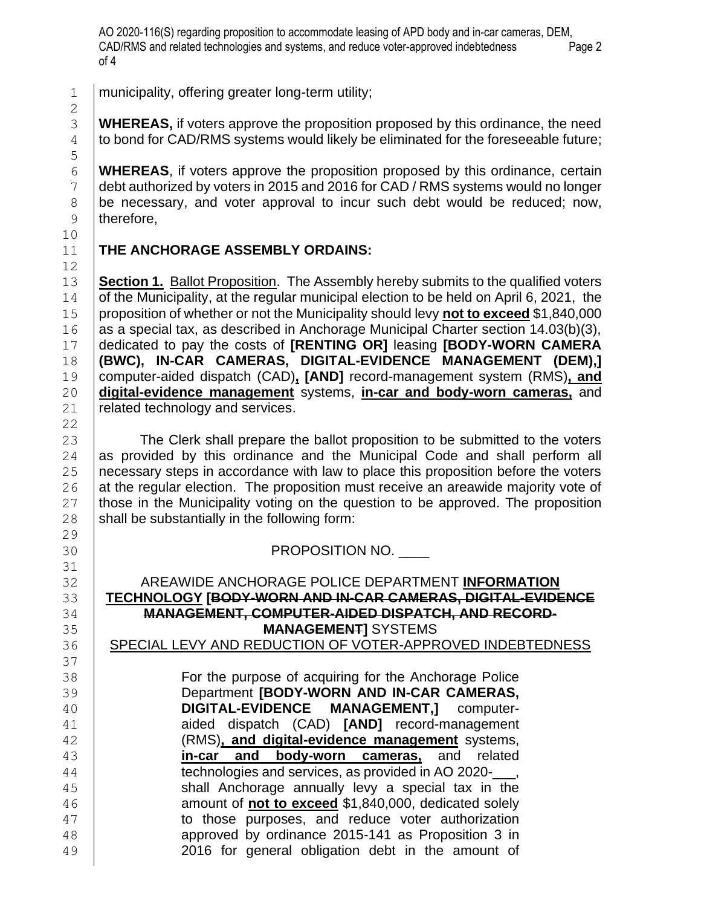AO 2020-116(S) regarding proposition to accommodate leasing of APD body and in-car cameras, DEM, CAD/RMS and related technologies and systems, and reduce voter-approved indebtedness Page 2 of 4

municipality, offering greater long-term utility;

 **WHEREAS,** if voters approve the proposition proposed by this ordinance, the need to bond for CAD/RMS systems would likely be eliminated for the foreseeable future;

 **WHEREAS**, if voters approve the proposition proposed by this ordinance, certain 7 debt authorized by voters in 2015 and 2016 for CAD / RMS systems would no longer be necessary, and voter approval to incur such debt would be reduced; now, 9 therefore,

## **THE ANCHORAGE ASSEMBLY ORDAINS:**

 **Section 1.** Ballot Proposition. The Assembly hereby submits to the qualified voters of the Municipality, at the regular municipal election to be held on April 6, 2021, the proposition of whether or not the Municipality should levy **not to exceed** \$1,840,000 16 as a special tax, as described in Anchorage Municipal Charter section  $14.03(b)(3)$ , dedicated to pay the costs of **[RENTING OR]** leasing **[BODY-WORN CAMERA (BWC), IN-CAR CAMERAS, DIGITAL-EVIDENCE MANAGEMENT (DEM),]** computer-aided dispatch (CAD)**, [AND]** record-management system (RMS)**, and digital-evidence management** systems, **in-car and body-worn cameras,** and 21 | related technology and services.

23 The Clerk shall prepare the ballot proposition to be submitted to the voters as provided by this ordinance and the Municipal Code and shall perform all 25 necessary steps in accordance with law to place this proposition before the voters at the regular election. The proposition must receive an areawide majority vote of those in the Municipality voting on the question to be approved. The proposition shall be substantially in the following form:

**PROPOSITION NO.** 

 AREAWIDE ANCHORAGE POLICE DEPARTMENT **INFORMATION TECHNOLOGY [BODY-WORN AND IN-CAR CAMERAS, DIGITAL-EVIDENCE MANAGEMENT, COMPUTER-AIDED DISPATCH, AND RECORD-MANAGEMENT]** SYSTEMS

36 | SPECIAL LEVY AND REDUCTION OF VOTER-APPROVED INDEBTEDNESS

 For the purpose of acquiring for the Anchorage Police Department **[BODY-WORN AND IN-CAR CAMERAS, DIGITAL-EVIDENCE MANAGEMENT,]** computer- aided dispatch (CAD) **[AND]** record-management (RMS)**, and digital-evidence management** systems, **in-car and body-worn cameras,** and related **technologies and services, as provided in AO 2020-**, 45 | Shall Anchorage annually levy a special tax in the **amount of not to exceed** \$1,840,000, dedicated solely 47 | to those purposes, and reduce voter authorization approved by ordinance 2015-141 as Proposition 3 in 2016 for general obligation debt in the amount of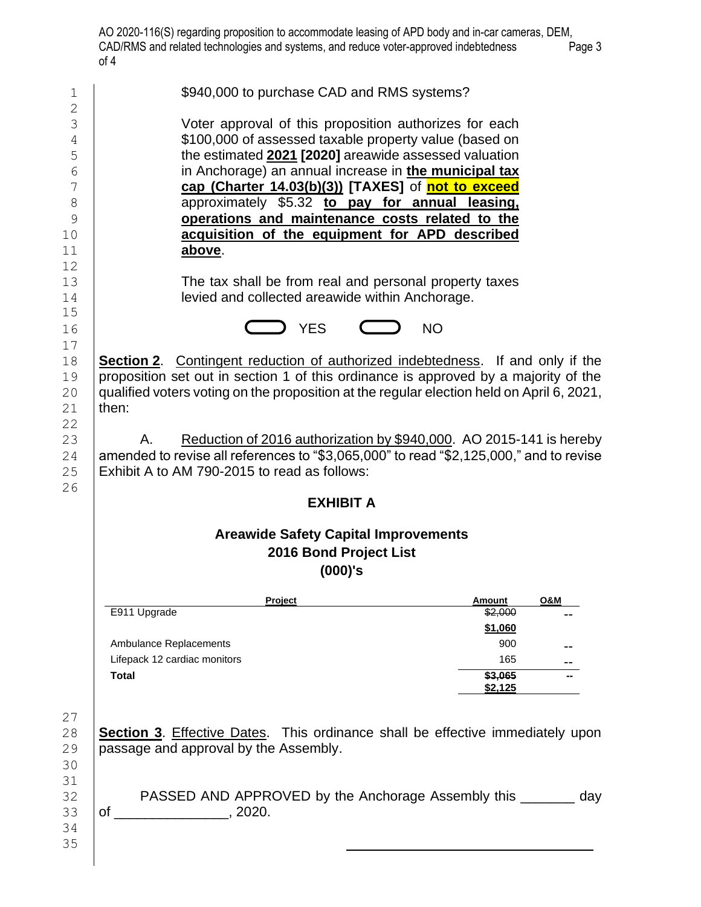| 1<br>$\mathbf 2$                                        | \$940,000 to purchase CAD and RMS systems?                                                                                                                                                                                                                                                                                                                                                                                                                 |                          |                |  |  |  |  |
|---------------------------------------------------------|------------------------------------------------------------------------------------------------------------------------------------------------------------------------------------------------------------------------------------------------------------------------------------------------------------------------------------------------------------------------------------------------------------------------------------------------------------|--------------------------|----------------|--|--|--|--|
| 3<br>4<br>5<br>6<br>7<br>$\,8\,$<br>9<br>10<br>11<br>12 | Voter approval of this proposition authorizes for each<br>\$100,000 of assessed taxable property value (based on<br>the estimated 2021 [2020] areawide assessed valuation<br>in Anchorage) an annual increase in the municipal tax<br>cap (Charter 14.03(b)(3)) [TAXES] of not to exceed<br>approximately \$5.32 to pay for annual leasing.<br>operations and maintenance costs related to the<br>acquisition of the equipment for APD described<br>above. |                          |                |  |  |  |  |
| 13<br>14<br>15                                          | The tax shall be from real and personal property taxes<br>levied and collected areawide within Anchorage.                                                                                                                                                                                                                                                                                                                                                  |                          |                |  |  |  |  |
| 16                                                      | <b>YES</b><br><b>NO</b>                                                                                                                                                                                                                                                                                                                                                                                                                                    |                          |                |  |  |  |  |
| 17<br>18<br>19<br>20<br>21<br>22                        | <b>Section 2.</b> Contingent reduction of authorized indebtedness. If and only if the<br>proposition set out in section 1 of this ordinance is approved by a majority of the<br>qualified voters voting on the proposition at the regular election held on April 6, 2021,<br>then:                                                                                                                                                                         |                          |                |  |  |  |  |
| 23<br>24<br>25<br>26                                    | Reduction of 2016 authorization by \$940,000. AO 2015-141 is hereby<br>Α.<br>amended to revise all references to "\$3,065,000" to read "\$2,125,000," and to revise<br>Exhibit A to AM 790-2015 to read as follows:                                                                                                                                                                                                                                        |                          |                |  |  |  |  |
|                                                         | <b>EXHIBIT A</b>                                                                                                                                                                                                                                                                                                                                                                                                                                           |                          |                |  |  |  |  |
|                                                         | <b>Areawide Safety Capital Improvements</b><br>2016 Bond Project List                                                                                                                                                                                                                                                                                                                                                                                      |                          |                |  |  |  |  |
|                                                         | (000)'s                                                                                                                                                                                                                                                                                                                                                                                                                                                    |                          |                |  |  |  |  |
|                                                         | Project<br>E911 Upgrade                                                                                                                                                                                                                                                                                                                                                                                                                                    | <b>Amount</b><br>\$2,000 | <b>O&amp;M</b> |  |  |  |  |
|                                                         |                                                                                                                                                                                                                                                                                                                                                                                                                                                            | \$1,060                  |                |  |  |  |  |
|                                                         | Ambulance Replacements<br>Lifepack 12 cardiac monitors                                                                                                                                                                                                                                                                                                                                                                                                     | 900<br>165               |                |  |  |  |  |
|                                                         | <b>Total</b>                                                                                                                                                                                                                                                                                                                                                                                                                                               | \$3,065<br>\$2,125       |                |  |  |  |  |
| 27<br>28<br>29<br>30                                    | Section 3. Effective Dates. This ordinance shall be effective immediately upon<br>passage and approval by the Assembly.                                                                                                                                                                                                                                                                                                                                    |                          |                |  |  |  |  |
| 31<br>32<br>33<br>34<br>35                              | PASSED AND APPROVED by the Anchorage Assembly this ________                                                                                                                                                                                                                                                                                                                                                                                                |                          | day            |  |  |  |  |